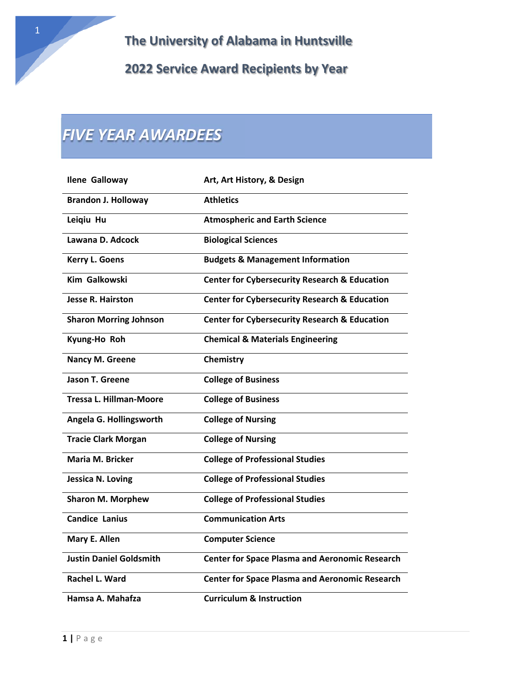# *FIVE YEAR AWARDEES*

| <b>Ilene Galloway</b>          | Art, Art History, & Design                               |
|--------------------------------|----------------------------------------------------------|
| <b>Brandon J. Holloway</b>     | <b>Athletics</b>                                         |
| Leigiu Hu                      | <b>Atmospheric and Earth Science</b>                     |
| Lawana D. Adcock               | <b>Biological Sciences</b>                               |
| <b>Kerry L. Goens</b>          | <b>Budgets &amp; Management Information</b>              |
| <b>Kim Galkowski</b>           | <b>Center for Cybersecurity Research &amp; Education</b> |
| <b>Jesse R. Hairston</b>       | <b>Center for Cybersecurity Research &amp; Education</b> |
| <b>Sharon Morring Johnson</b>  | <b>Center for Cybersecurity Research &amp; Education</b> |
| Kyung-Ho Roh                   | <b>Chemical &amp; Materials Engineering</b>              |
| Nancy M. Greene                | Chemistry                                                |
| <b>Jason T. Greene</b>         | <b>College of Business</b>                               |
| <b>Tressa L. Hillman-Moore</b> | <b>College of Business</b>                               |
| Angela G. Hollingsworth        | <b>College of Nursing</b>                                |
| <b>Tracie Clark Morgan</b>     | <b>College of Nursing</b>                                |
| Maria M. Bricker               | <b>College of Professional Studies</b>                   |
| <b>Jessica N. Loving</b>       | <b>College of Professional Studies</b>                   |
| <b>Sharon M. Morphew</b>       | <b>College of Professional Studies</b>                   |
| <b>Candice Lanius</b>          | <b>Communication Arts</b>                                |
| Mary E. Allen                  | <b>Computer Science</b>                                  |
| <b>Justin Daniel Goldsmith</b> | <b>Center for Space Plasma and Aeronomic Research</b>    |
| Rachel L. Ward                 | <b>Center for Space Plasma and Aeronomic Research</b>    |
| Hamsa A. Mahafza               | <b>Curriculum &amp; Instruction</b>                      |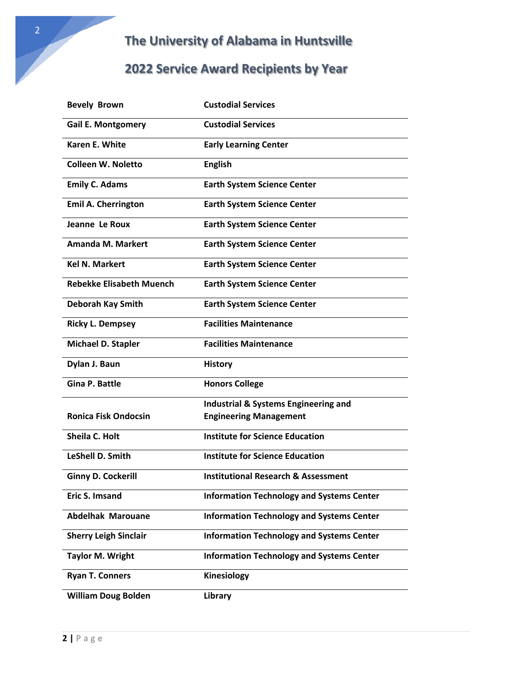### **2022 Service Award Recipients by Year**

| <b>Bevely Brown</b>             | <b>Custodial Services</b>                        |
|---------------------------------|--------------------------------------------------|
| <b>Gail E. Montgomery</b>       | <b>Custodial Services</b>                        |
| <b>Karen E. White</b>           | <b>Early Learning Center</b>                     |
| Colleen W. Noletto              | <b>English</b>                                   |
| <b>Emily C. Adams</b>           | <b>Earth System Science Center</b>               |
| <b>Emil A. Cherrington</b>      | <b>Earth System Science Center</b>               |
| Jeanne Le Roux                  | <b>Earth System Science Center</b>               |
| <b>Amanda M. Markert</b>        | <b>Earth System Science Center</b>               |
| <b>Kel N. Markert</b>           | <b>Earth System Science Center</b>               |
| <b>Rebekke Elisabeth Muench</b> | <b>Earth System Science Center</b>               |
| <b>Deborah Kay Smith</b>        | <b>Earth System Science Center</b>               |
| <b>Ricky L. Dempsey</b>         | <b>Facilities Maintenance</b>                    |
| Michael D. Stapler              | <b>Facilities Maintenance</b>                    |
| Dylan J. Baun                   | <b>History</b>                                   |
| <b>Gina P. Battle</b>           | <b>Honors College</b>                            |
|                                 | <b>Industrial &amp; Systems Engineering and</b>  |
| <b>Ronica Fisk Ondocsin</b>     | <b>Engineering Management</b>                    |
| Sheila C. Holt                  | <b>Institute for Science Education</b>           |
| LeShell D. Smith                | <b>Institute for Science Education</b>           |
| <b>Ginny D. Cockerill</b>       | <b>Institutional Research &amp; Assessment</b>   |
| Eric S. Imsand                  | <b>Information Technology and Systems Center</b> |
| <b>Abdelhak Marouane</b>        | <b>Information Technology and Systems Center</b> |
| <b>Sherry Leigh Sinclair</b>    | <b>Information Technology and Systems Center</b> |
| <b>Taylor M. Wright</b>         | <b>Information Technology and Systems Center</b> |
| <b>Ryan T. Conners</b>          | Kinesiology                                      |
| <b>William Doug Bolden</b>      | Library                                          |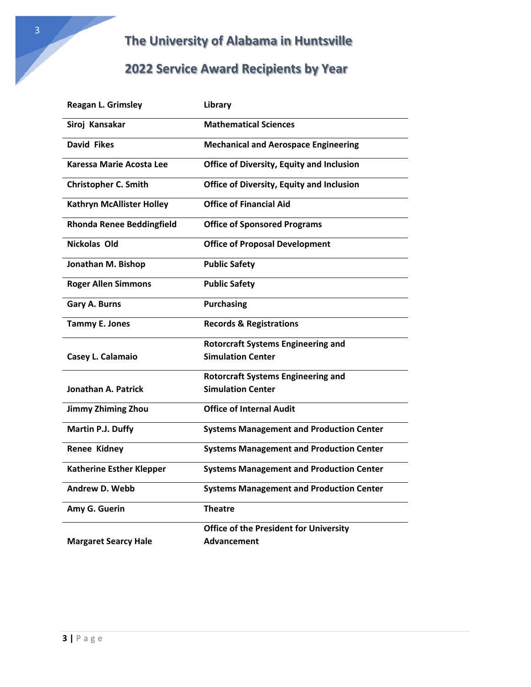| Reagan L. Grimsley               | Library                                          |
|----------------------------------|--------------------------------------------------|
| Siroj Kansakar                   | <b>Mathematical Sciences</b>                     |
| <b>David Fikes</b>               | <b>Mechanical and Aerospace Engineering</b>      |
| <b>Karessa Marie Acosta Lee</b>  | <b>Office of Diversity, Equity and Inclusion</b> |
| <b>Christopher C. Smith</b>      | <b>Office of Diversity, Equity and Inclusion</b> |
| <b>Kathryn McAllister Holley</b> | <b>Office of Financial Aid</b>                   |
| <b>Rhonda Renee Beddingfield</b> | <b>Office of Sponsored Programs</b>              |
| Nickolas Old                     | <b>Office of Proposal Development</b>            |
| Jonathan M. Bishop               | <b>Public Safety</b>                             |
| <b>Roger Allen Simmons</b>       | <b>Public Safety</b>                             |
| Gary A. Burns                    | <b>Purchasing</b>                                |
| <b>Tammy E. Jones</b>            | <b>Records &amp; Registrations</b>               |
|                                  | <b>Rotorcraft Systems Engineering and</b>        |
| Casey L. Calamaio                | <b>Simulation Center</b>                         |
|                                  | <b>Rotorcraft Systems Engineering and</b>        |
| Jonathan A. Patrick              | <b>Simulation Center</b>                         |
| <b>Jimmy Zhiming Zhou</b>        | <b>Office of Internal Audit</b>                  |
| Martin P.J. Duffy                | <b>Systems Management and Production Center</b>  |
| <b>Renee Kidney</b>              | <b>Systems Management and Production Center</b>  |
| <b>Katherine Esther Klepper</b>  | <b>Systems Management and Production Center</b>  |
| <b>Andrew D. Webb</b>            | <b>Systems Management and Production Center</b>  |
| Amy G. Guerin                    | <b>Theatre</b>                                   |
|                                  | <b>Office of the President for University</b>    |
| <b>Margaret Searcy Hale</b>      | <b>Advancement</b>                               |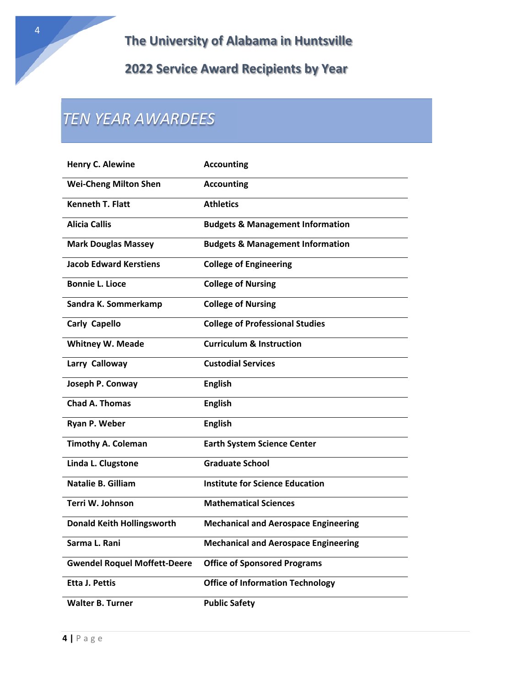## *TEN YEAR AWARDEES*

| <b>Henry C. Alewine</b>             | <b>Accounting</b>                           |
|-------------------------------------|---------------------------------------------|
| <b>Wei-Cheng Milton Shen</b>        | <b>Accounting</b>                           |
| <b>Kenneth T. Flatt</b>             | <b>Athletics</b>                            |
| <b>Alicia Callis</b>                | <b>Budgets &amp; Management Information</b> |
| <b>Mark Douglas Massey</b>          | <b>Budgets &amp; Management Information</b> |
| <b>Jacob Edward Kerstiens</b>       | <b>College of Engineering</b>               |
| <b>Bonnie L. Lioce</b>              | <b>College of Nursing</b>                   |
| Sandra K. Sommerkamp                | <b>College of Nursing</b>                   |
| <b>Carly Capello</b>                | <b>College of Professional Studies</b>      |
| <b>Whitney W. Meade</b>             | <b>Curriculum &amp; Instruction</b>         |
| Larry Calloway                      | <b>Custodial Services</b>                   |
| Joseph P. Conway                    | <b>English</b>                              |
| <b>Chad A. Thomas</b>               | <b>English</b>                              |
| Ryan P. Weber                       | <b>English</b>                              |
| <b>Timothy A. Coleman</b>           | <b>Earth System Science Center</b>          |
| Linda L. Clugstone                  | <b>Graduate School</b>                      |
| Natalie B. Gilliam                  | <b>Institute for Science Education</b>      |
| Terri W. Johnson                    | <b>Mathematical Sciences</b>                |
| <b>Donald Keith Hollingsworth</b>   | <b>Mechanical and Aerospace Engineering</b> |
| Sarma L. Rani                       | <b>Mechanical and Aerospace Engineering</b> |
| <b>Gwendel Roquel Moffett-Deere</b> | <b>Office of Sponsored Programs</b>         |
| <b>Etta J. Pettis</b>               | <b>Office of Information Technology</b>     |
| <b>Walter B. Turner</b>             | <b>Public Safety</b>                        |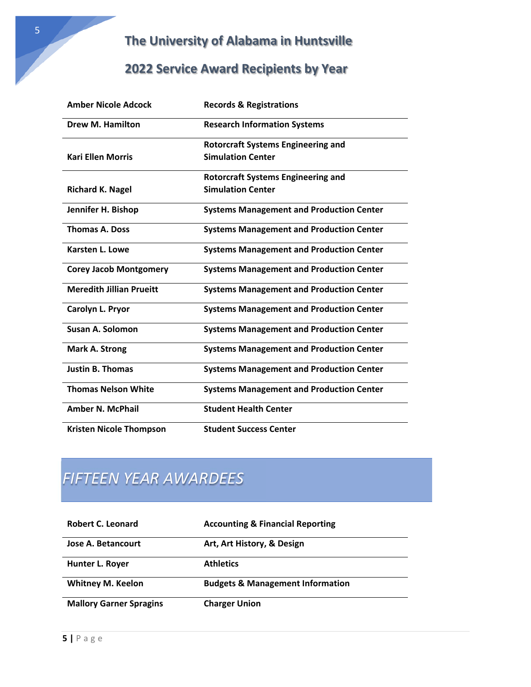#### **2022 Service Award Recipients by Year**

| <b>Amber Nicole Adcock</b>      | <b>Records &amp; Registrations</b>              |
|---------------------------------|-------------------------------------------------|
| <b>Drew M. Hamilton</b>         | <b>Research Information Systems</b>             |
|                                 | <b>Rotorcraft Systems Engineering and</b>       |
| <b>Kari Ellen Morris</b>        | <b>Simulation Center</b>                        |
|                                 | <b>Rotorcraft Systems Engineering and</b>       |
| <b>Richard K. Nagel</b>         | <b>Simulation Center</b>                        |
| Jennifer H. Bishop              | <b>Systems Management and Production Center</b> |
| <b>Thomas A. Doss</b>           | <b>Systems Management and Production Center</b> |
| <b>Karsten L. Lowe</b>          | <b>Systems Management and Production Center</b> |
| <b>Corey Jacob Montgomery</b>   | <b>Systems Management and Production Center</b> |
| <b>Meredith Jillian Prueitt</b> | <b>Systems Management and Production Center</b> |
| Carolyn L. Pryor                | <b>Systems Management and Production Center</b> |
| <b>Susan A. Solomon</b>         | <b>Systems Management and Production Center</b> |
| <b>Mark A. Strong</b>           | <b>Systems Management and Production Center</b> |
| <b>Justin B. Thomas</b>         | <b>Systems Management and Production Center</b> |
| <b>Thomas Nelson White</b>      | <b>Systems Management and Production Center</b> |
| <b>Amber N. McPhail</b>         | <b>Student Health Center</b>                    |
| <b>Kristen Nicole Thompson</b>  | <b>Student Success Center</b>                   |

### *FIFTEEN YEAR AWARDEES*

| Robert C. Leonard              | <b>Accounting &amp; Financial Reporting</b> |
|--------------------------------|---------------------------------------------|
| <b>Jose A. Betancourt</b>      | Art, Art History, & Design                  |
| Hunter L. Royer                | <b>Athletics</b>                            |
| <b>Whitney M. Keelon</b>       | <b>Budgets &amp; Management Information</b> |
| <b>Mallory Garner Spragins</b> | <b>Charger Union</b>                        |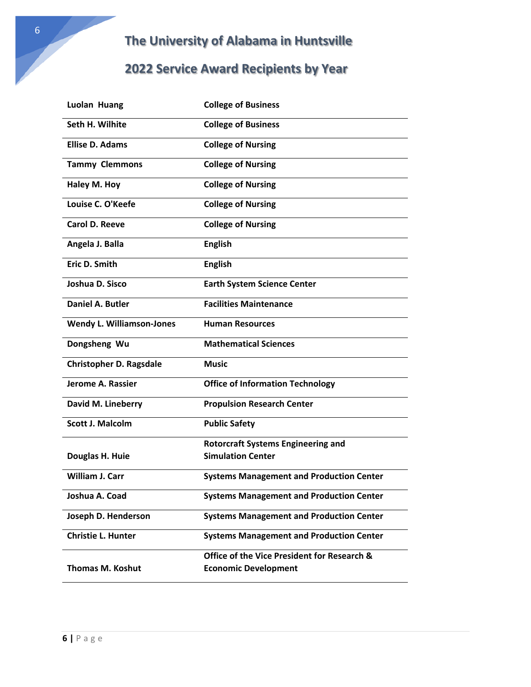### **2022 Service Award Recipients by Year**

| Luolan Huang                     | <b>College of Business</b>                      |
|----------------------------------|-------------------------------------------------|
| Seth H. Wilhite                  | <b>College of Business</b>                      |
| <b>Ellise D. Adams</b>           | <b>College of Nursing</b>                       |
| <b>Tammy Clemmons</b>            | <b>College of Nursing</b>                       |
| Haley M. Hoy                     | <b>College of Nursing</b>                       |
| Louise C. O'Keefe                | <b>College of Nursing</b>                       |
| Carol D. Reeve                   | <b>College of Nursing</b>                       |
| Angela J. Balla                  | <b>English</b>                                  |
| Eric D. Smith                    | <b>English</b>                                  |
| Joshua D. Sisco                  | <b>Earth System Science Center</b>              |
| Daniel A. Butler                 | <b>Facilities Maintenance</b>                   |
| <b>Wendy L. Williamson-Jones</b> | <b>Human Resources</b>                          |
| Dongsheng Wu                     | <b>Mathematical Sciences</b>                    |
| <b>Christopher D. Ragsdale</b>   | Music                                           |
| Jerome A. Rassier                | <b>Office of Information Technology</b>         |
| David M. Lineberry               | <b>Propulsion Research Center</b>               |
| <b>Scott J. Malcolm</b>          | <b>Public Safety</b>                            |
|                                  | <b>Rotorcraft Systems Engineering and</b>       |
| Douglas H. Huie                  | <b>Simulation Center</b>                        |
| <b>William J. Carr</b>           | <b>Systems Management and Production Center</b> |
| Joshua A. Coad                   | <b>Systems Management and Production Center</b> |
| Joseph D. Henderson              | <b>Systems Management and Production Center</b> |
| <b>Christie L. Hunter</b>        | <b>Systems Management and Production Center</b> |
|                                  | Office of the Vice President for Research &     |
| <b>Thomas M. Koshut</b>          | <b>Economic Development</b>                     |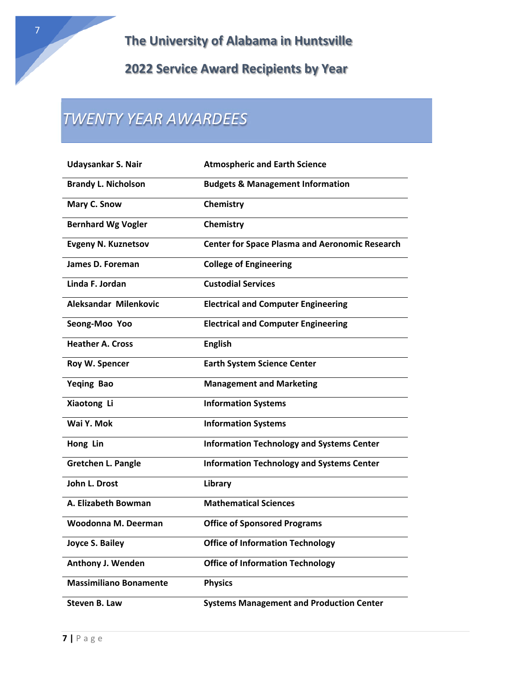## *TWENTY YEAR AWARDEES*

| Udaysankar S. Nair            | <b>Atmospheric and Earth Science</b>                  |
|-------------------------------|-------------------------------------------------------|
| <b>Brandy L. Nicholson</b>    | <b>Budgets &amp; Management Information</b>           |
| Mary C. Snow                  | Chemistry                                             |
| <b>Bernhard Wg Vogler</b>     | Chemistry                                             |
| <b>Evgeny N. Kuznetsov</b>    | <b>Center for Space Plasma and Aeronomic Research</b> |
| James D. Foreman              | <b>College of Engineering</b>                         |
| Linda F. Jordan               | <b>Custodial Services</b>                             |
| Aleksandar Milenkovic         | <b>Electrical and Computer Engineering</b>            |
| Seong-Moo Yoo                 | <b>Electrical and Computer Engineering</b>            |
| <b>Heather A. Cross</b>       | <b>English</b>                                        |
| Roy W. Spencer                | <b>Earth System Science Center</b>                    |
| <b>Yeging Bao</b>             | <b>Management and Marketing</b>                       |
| Xiaotong Li                   | <b>Information Systems</b>                            |
| Wai Y. Mok                    | <b>Information Systems</b>                            |
| Hong Lin                      | <b>Information Technology and Systems Center</b>      |
| <b>Gretchen L. Pangle</b>     | <b>Information Technology and Systems Center</b>      |
| John L. Drost                 | Library                                               |
| A. Elizabeth Bowman           | <b>Mathematical Sciences</b>                          |
| Woodonna M. Deerman           | <b>Office of Sponsored Programs</b>                   |
| Joyce S. Bailey               | <b>Office of Information Technology</b>               |
| Anthony J. Wenden             | <b>Office of Information Technology</b>               |
| <b>Massimiliano Bonamente</b> | <b>Physics</b>                                        |
| Steven B. Law                 | <b>Systems Management and Production Center</b>       |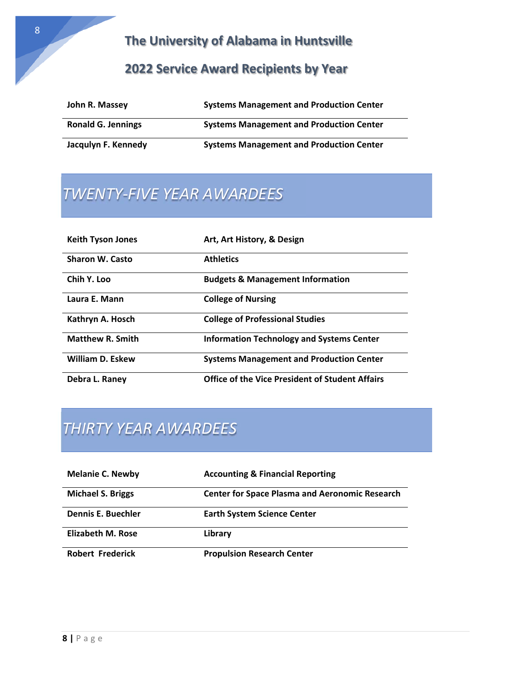#### **2022 Service Award Recipients by Year**

| John R. Massey            | <b>Systems Management and Production Center</b> |
|---------------------------|-------------------------------------------------|
| <b>Ronald G. Jennings</b> | <b>Systems Management and Production Center</b> |
| Jacqulyn F. Kennedy       | <b>Systems Management and Production Center</b> |

## *TWENTY‐FIVE YEAR AWARDEES*

| <b>Keith Tyson Jones</b> | Art, Art History, & Design                             |
|--------------------------|--------------------------------------------------------|
| <b>Sharon W. Casto</b>   | <b>Athletics</b>                                       |
| Chih Y. Loo              | <b>Budgets &amp; Management Information</b>            |
| Laura E. Mann            | <b>College of Nursing</b>                              |
| Kathryn A. Hosch         | <b>College of Professional Studies</b>                 |
| <b>Matthew R. Smith</b>  | <b>Information Technology and Systems Center</b>       |
| <b>William D. Eskew</b>  | <b>Systems Management and Production Center</b>        |
| Debra L. Raney           | <b>Office of the Vice President of Student Affairs</b> |

## *THIRTY YEAR AWARDEES*

| <b>Melanie C. Newby</b>   | <b>Accounting &amp; Financial Reporting</b>           |
|---------------------------|-------------------------------------------------------|
| <b>Michael S. Briggs</b>  | <b>Center for Space Plasma and Aeronomic Research</b> |
| <b>Dennis E. Buechler</b> | <b>Earth System Science Center</b>                    |
| <b>Elizabeth M. Rose</b>  | Library                                               |
| <b>Robert Frederick</b>   | <b>Propulsion Research Center</b>                     |